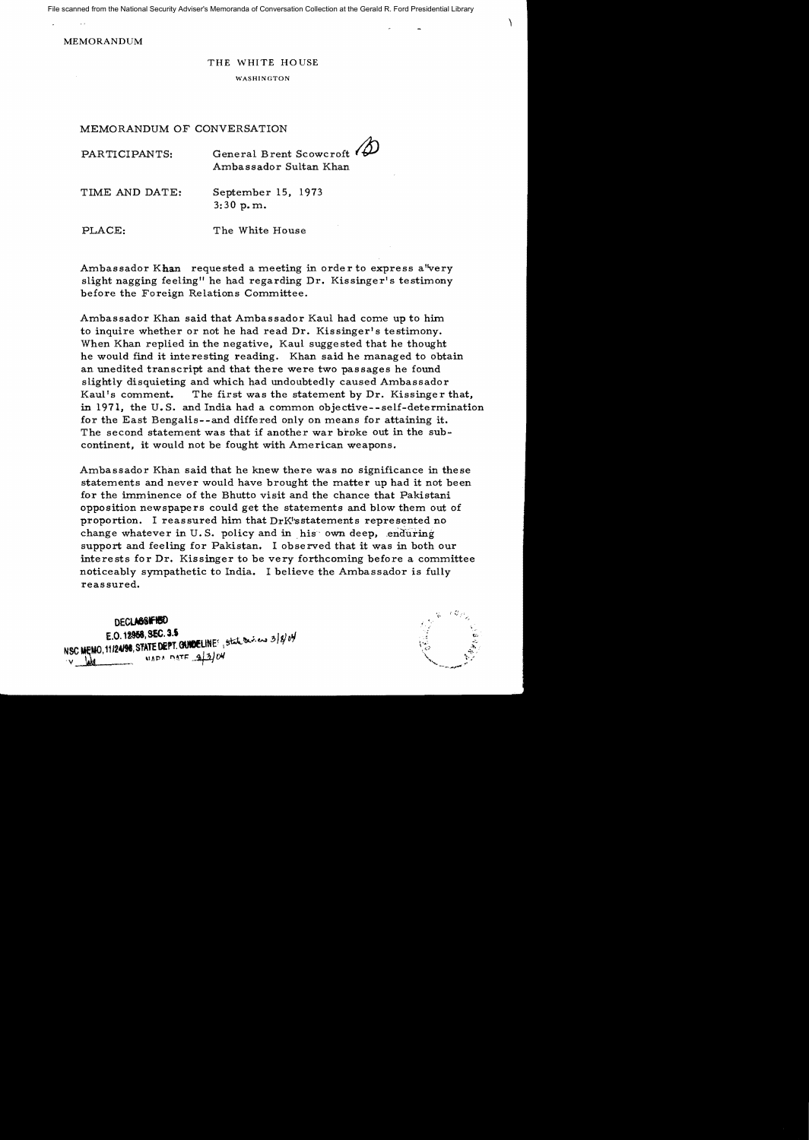File scanned from the National Security Adviser's Memoranda of Conversation Collection at the Gerald R. Ford Presidential Library

MEMORANDUM

## THE WHITE HOUSE

WASHINGTON

## MEMORANDUM OF CONVERSATION

| PARTICIPANTS:  | General Brent Scowcroft<br>Ambassador Sultan Khan |
|----------------|---------------------------------------------------|
| TIME AND DATE: | September 15, 1973<br>3:30 p.m.                   |

PLACE: The White House

Ambassador Khan requested a meeting in order to express a 'very slight nagging feeling" he had regarding Dr. Kissinger's testimony before the Foreign Relations Committee.

Ambassador Khan said that Ambassador Kaul had come up to him to inquire whether or not he had read Dr. Kissinger's testimony. When Khan replied in the negative, Kaul suggested that he thought he would find it interesting reading. Khan said he managed to obtain an unedited transcript and that there were two passages he found slightly disquieting and which had undoubtedly caused Ambassador Kaul's comment. The first was the statement by Dr. Kissinger that, in 1971, the U.S. and India had a common objective--self-determination for the East Bengalis--and differed only on means for attaining it. The second statement was that if another war broke out in the subcontinent, it would not be fought with American weapons.

Ambassador Khan said that he knew there was no significance in these statements and never would have brought the matter up had it not been for the imminence of the Bhutto visit and the chance that Pakistani opposition newspapers could get the statements and blow them out of proportion. I reassured him that DrK'sstatements represented no change whatever in U.S. policy and in his own deep, enduring support and feeling for Pakistan. I observed that it was in both our interests for Dr. Kissinger to be very forthcoming before a committee noticeably sympathetic to India. I believe the Ambassador is fully reassured.



 $\mathcal{L}$